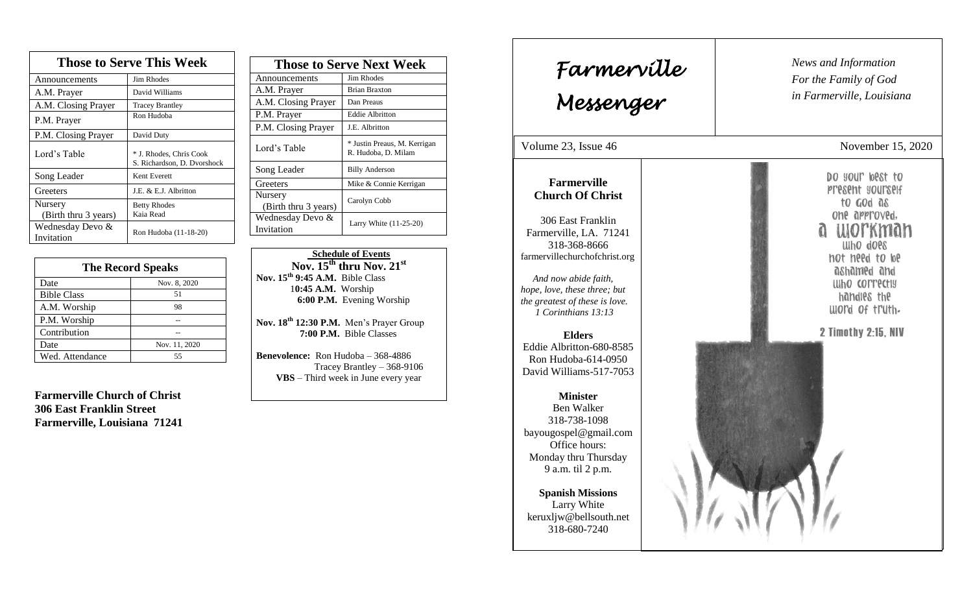| <b>Those to Serve This Week</b> |                                                        |  |
|---------------------------------|--------------------------------------------------------|--|
| Announcements                   | <b>Jim Rhodes</b>                                      |  |
| A.M. Prayer                     | David Williams                                         |  |
| A.M. Closing Prayer             | <b>Tracey Brantley</b>                                 |  |
| P.M. Prayer                     | Ron Hudoba                                             |  |
| P.M. Closing Prayer             | David Duty                                             |  |
| Lord's Table                    | * J. Rhodes, Chris Cook<br>S. Richardson, D. Dvorshock |  |
| Song Leader                     | Kent Everett                                           |  |
| Greeters                        | J.E. & E.J. Albritton                                  |  |
| Nursery                         | <b>Betty Rhodes</b>                                    |  |
| (Birth thru 3 years)            | Kaia Read                                              |  |
| Wednesday Devo &<br>Invitation  | Ron Hudoba (11-18-20)                                  |  |

| <b>The Record Speaks</b> |               |
|--------------------------|---------------|
| Date                     | Nov. 8, 2020  |
| <b>Bible Class</b>       | 51            |
| A.M. Worship             | 98            |
| P.M. Worship             |               |
| Contribution             |               |
| Date                     | Nov. 11, 2020 |
| Wed. Attendance          | 55            |

**Farmerville Church of Christ 306 East Franklin Street Farmerville, Louisiana 71241**

| <b>Those to Serve Next Week</b> |                                                     |
|---------------------------------|-----------------------------------------------------|
| Announcements                   | Jim Rhodes                                          |
| A.M. Prayer                     | <b>Brian Braxton</b>                                |
| A.M. Closing Prayer             | Dan Preaus                                          |
| P.M. Prayer                     | <b>Eddie Albritton</b>                              |
| P.M. Closing Prayer             | J.E. Albritton                                      |
| Lord's Table                    | * Justin Preaus, M. Kerrigan<br>R. Hudoba, D. Milam |
| Song Leader                     | <b>Billy Anderson</b>                               |
| Greeters                        | Mike & Connie Kerrigan                              |
| Nursery<br>(Birth thru 3 years) | Carolyn Cobb                                        |
| Wednesday Devo &<br>Invitation  | Larry White (11-25-20)                              |

 **Schedule of Events**  $\frac{15^{th}}{21}$  **thru Nov.** 21<sup>st</sup> **Nov. 15th 9:45 A.M.** Bible Class 1**0:45 A.M.** Worship  **6:00 P.M.** Evening Worship

**Nov. 18 th 12:30 P.M.** Men's Prayer Group **7:00 P.M.** Bible Classes

**Benevolence:** Ron Hudoba – 368-4886 Tracey Brantley – 368-9106 **VBS** – Third week in June every year